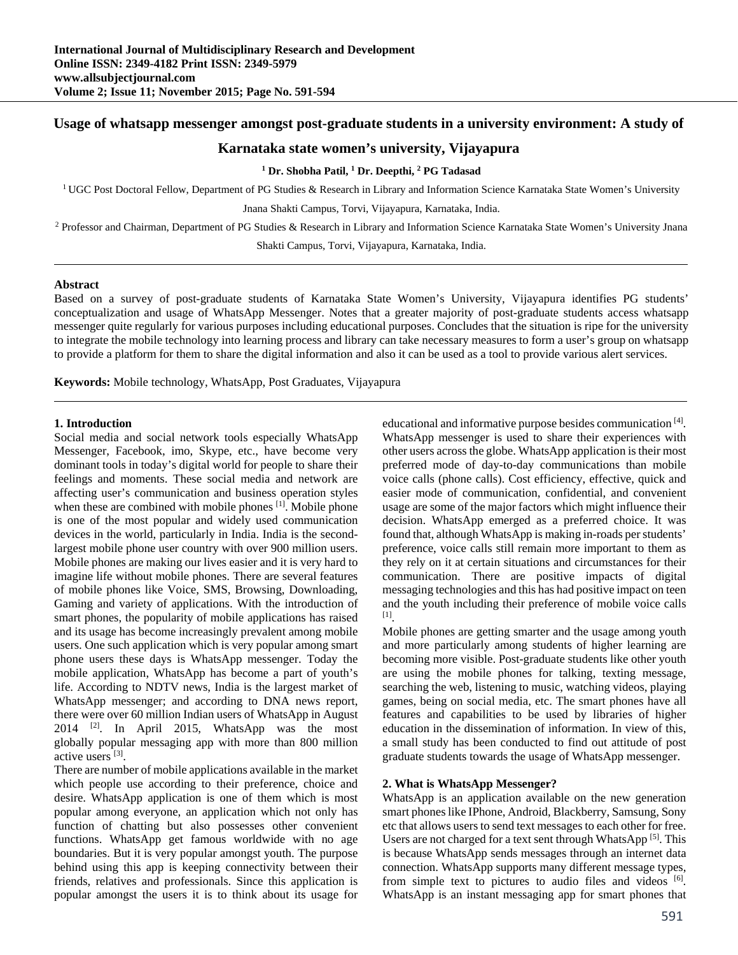# **Usage of whatsapp messenger amongst post-graduate students in a university environment: A study of**

# **Karnataka state women's university, Vijayapura**

**1 Dr. Shobha Patil, 1 Dr. Deepthi, 2 PG Tadasad** 

<sup>1</sup> UGC Post Doctoral Fellow, Department of PG Studies & Research in Library and Information Science Karnataka State Women's University

Jnana Shakti Campus, Torvi, Vijayapura, Karnataka, India.

<sup>2</sup> Professor and Chairman, Department of PG Studies & Research in Library and Information Science Karnataka State Women's University Jnana

Shakti Campus, Torvi, Vijayapura, Karnataka, India.

### **Abstract**

Based on a survey of post-graduate students of Karnataka State Women's University, Vijayapura identifies PG students' conceptualization and usage of WhatsApp Messenger. Notes that a greater majority of post-graduate students access whatsapp messenger quite regularly for various purposes including educational purposes. Concludes that the situation is ripe for the university to integrate the mobile technology into learning process and library can take necessary measures to form a user's group on whatsapp to provide a platform for them to share the digital information and also it can be used as a tool to provide various alert services.

**Keywords:** Mobile technology, WhatsApp, Post Graduates, Vijayapura

## **1. Introduction**

Social media and social network tools especially WhatsApp Messenger, Facebook, imo, Skype, etc., have become very dominant tools in today's digital world for people to share their feelings and moments. These social media and network are affecting user's communication and business operation styles when these are combined with mobile phones <sup>[1]</sup>. Mobile phone is one of the most popular and widely used communication devices in the world, particularly in India. India is the secondlargest mobile phone user country with over 900 million users. Mobile phones are making our lives easier and it is very hard to imagine life without mobile phones. There are several features of mobile phones like Voice, SMS, Browsing, Downloading, Gaming and variety of applications. With the introduction of smart phones, the popularity of mobile applications has raised and its usage has become increasingly prevalent among mobile users. One such application which is very popular among smart phone users these days is WhatsApp messenger. Today the mobile application, WhatsApp has become a part of youth's life. According to NDTV news, India is the largest market of WhatsApp messenger; and according to DNA news report, there were over 60 million Indian users of WhatsApp in August  $2014$  <sup>[2]</sup>. In April 2015, WhatsApp was the most globally popular messaging app with more than 800 million active users<sup>[3]</sup>.

There are number of mobile applications available in the market which people use according to their preference, choice and desire. WhatsApp application is one of them which is most popular among everyone, an application which not only has function of chatting but also possesses other convenient functions. WhatsApp get famous worldwide with no age boundaries. But it is very popular amongst youth. The purpose behind using this app is keeping connectivity between their friends, relatives and professionals. Since this application is popular amongst the users it is to think about its usage for

educational and informative purpose besides communication [4]. WhatsApp messenger is used to share their experiences with other users across the globe. WhatsApp application is their most preferred mode of day-to-day communications than mobile voice calls (phone calls). Cost efficiency, effective, quick and easier mode of communication, confidential, and convenient usage are some of the major factors which might influence their decision. WhatsApp emerged as a preferred choice. It was found that, although WhatsApp is making in-roads per students' preference, voice calls still remain more important to them as they rely on it at certain situations and circumstances for their communication. There are positive impacts of digital messaging technologies and this has had positive impact on teen and the youth including their preference of mobile voice calls [1].

Mobile phones are getting smarter and the usage among youth and more particularly among students of higher learning are becoming more visible. Post-graduate students like other youth are using the mobile phones for talking, texting message, searching the web, listening to music, watching videos, playing games, being on social media, etc. The smart phones have all features and capabilities to be used by libraries of higher education in the dissemination of information. In view of this, a small study has been conducted to find out attitude of post graduate students towards the usage of WhatsApp messenger.

## **2. What is WhatsApp Messenger?**

WhatsApp is an application available on the new generation smart phones like IPhone, Android, Blackberry, Samsung, Sony etc that allows users to send text messages to each other for free. Users are not charged for a text sent through WhatsApp [5]. This is because WhatsApp sends messages through an internet data connection. WhatsApp supports many different message types, from simple text to pictures to audio files and videos [6]. WhatsApp is an instant messaging app for smart phones that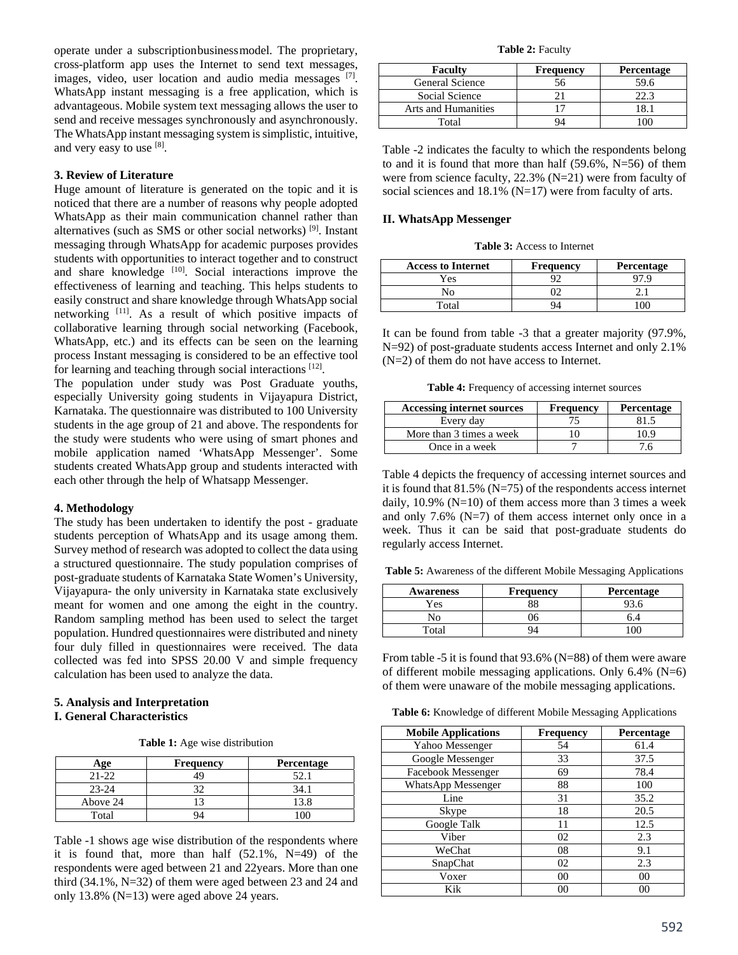operate under a subscriptionbusinessmodel. The proprietary, cross-platform app uses the Internet to send text messages, images, video, user location and audio media messages [7]. WhatsApp instant messaging is a free application, which is advantageous. Mobile system text messaging allows the user to send and receive messages synchronously and asynchronously. The WhatsApp instant messaging system is simplistic, intuitive, and very easy to use  $[8]$ .

## **3. Review of Literature**

Huge amount of literature is generated on the topic and it is noticed that there are a number of reasons why people adopted WhatsApp as their main communication channel rather than alternatives (such as SMS or other social networks) [9]. Instant messaging through WhatsApp for academic purposes provides students with opportunities to interact together and to construct and share knowledge [10]. Social interactions improve the effectiveness of learning and teaching. This helps students to easily construct and share knowledge through WhatsApp social networking [11]. As a result of which positive impacts of collaborative learning through social networking (Facebook, WhatsApp, etc.) and its effects can be seen on the learning process Instant messaging is considered to be an effective tool for learning and teaching through social interactions [12].

The population under study was Post Graduate youths, especially University going students in Vijayapura District, Karnataka. The questionnaire was distributed to 100 University students in the age group of 21 and above. The respondents for the study were students who were using of smart phones and mobile application named 'WhatsApp Messenger'. Some students created WhatsApp group and students interacted with each other through the help of Whatsapp Messenger.

#### **4. Methodology**

The study has been undertaken to identify the post - graduate students perception of WhatsApp and its usage among them. Survey method of research was adopted to collect the data using a structured questionnaire. The study population comprises of post-graduate students of Karnataka State Women's University, Vijayapura- the only university in Karnataka state exclusively meant for women and one among the eight in the country. Random sampling method has been used to select the target population. Hundred questionnaires were distributed and ninety four duly filled in questionnaires were received. The data collected was fed into SPSS 20.00 V and simple frequency calculation has been used to analyze the data.

## **5. Analysis and Interpretation I. General Characteristics**

**Table 1:** Age wise distribution

| vae       | <b>Frequency</b> | Percentage |
|-----------|------------------|------------|
| $21 - 22$ | 19               |            |
| $23 - 24$ |                  | 34.        |
| Above 24  |                  | 13.8       |
| Total     |                  |            |

Table -1 shows age wise distribution of the respondents where it is found that, more than half (52.1%, N=49) of the respondents were aged between 21 and 22years. More than one third (34.1%, N=32) of them were aged between 23 and 24 and only 13.8% (N=13) were aged above 24 years.

**Table 2:** Faculty

| <b>Faculty</b>             | <b>Frequency</b> | <b>Percentage</b> |
|----------------------------|------------------|-------------------|
| <b>General Science</b>     |                  | 59.6              |
| Social Science             |                  |                   |
| <b>Arts and Humanities</b> |                  |                   |
| Total                      |                  |                   |

Table -2 indicates the faculty to which the respondents belong to and it is found that more than half (59.6%, N=56) of them were from science faculty, 22.3% (N=21) were from faculty of social sciences and 18.1% (N=17) were from faculty of arts.

### **II. WhatsApp Messenger**

**Table 3:** Access to Internet

| <b>Access to Internet</b> | <b>Frequency</b> | Percentage |
|---------------------------|------------------|------------|
| Yes                       |                  |            |
| N٥                        |                  |            |
| $\mathrm{T}$ otal         |                  |            |

It can be found from table -3 that a greater majority (97.9%, N=92) of post-graduate students access Internet and only 2.1% (N=2) of them do not have access to Internet.

**Table 4:** Frequency of accessing internet sources

| Accessing internet sources | <b>Frequency</b> | Percentage |
|----------------------------|------------------|------------|
| Every day                  |                  |            |
| More than 3 times a week   |                  | 10 9       |
| Once in a week             |                  |            |

Table 4 depicts the frequency of accessing internet sources and it is found that 81.5% (N=75) of the respondents access internet daily,  $10.9\%$  (N=10) of them access more than 3 times a week and only 7.6%  $(N=7)$  of them access internet only once in a week. Thus it can be said that post-graduate students do regularly access Internet.

**Table 5:** Awareness of the different Mobile Messaging Applications

| <b>Awareness</b> | <b>Frequency</b> | Percentage |
|------------------|------------------|------------|
| Yes              |                  |            |
|                  |                  |            |
| $\Gamma$ otai    |                  |            |

From table -5 it is found that 93.6% (N=88) of them were aware of different mobile messaging applications. Only  $6.4\%$  (N=6) of them were unaware of the mobile messaging applications.

**Table 6:** Knowledge of different Mobile Messaging Applications

| <b>Mobile Applications</b> | <b>Frequency</b> | Percentage |
|----------------------------|------------------|------------|
| Yahoo Messenger            | 54               | 61.4       |
| Google Messenger           | 33               | 37.5       |
| Facebook Messenger         | 69               | 78.4       |
| <b>WhatsApp Messenger</b>  | 88               | 100        |
| Line                       | 31               | 35.2       |
| Skype                      | 18               | 20.5       |
| Google Talk                | 11               | 12.5       |
| Viber                      | 02               | 2.3        |
| WeChat                     | 08               | 9.1        |
| SnapChat                   | 02               | 2.3        |
| Voxer                      | 00               | 00         |
| Kik                        | 00               | 00         |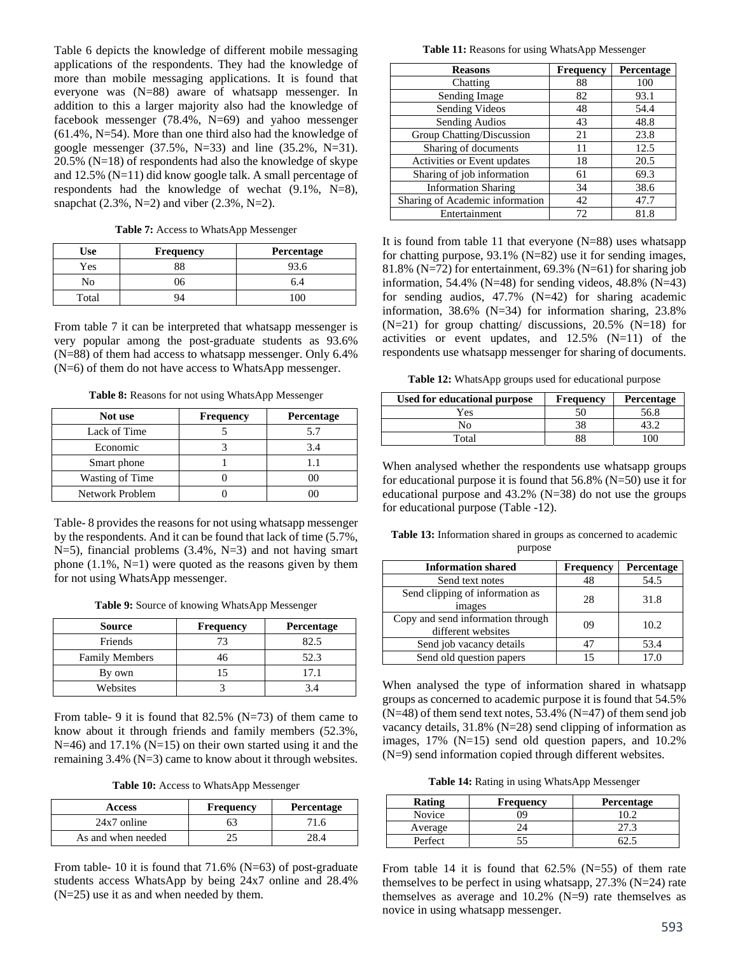Table 6 depicts the knowledge of different mobile messaging applications of the respondents. They had the knowledge of more than mobile messaging applications. It is found that everyone was (N=88) aware of whatsapp messenger. In addition to this a larger majority also had the knowledge of facebook messenger  $(78.4\%, N=69)$  and yahoo messenger (61.4%, N=54). More than one third also had the knowledge of google messenger  $(37.5\%, N=33)$  and line  $(35.2\%, N=31)$ . 20.5% (N=18) of respondents had also the knowledge of skype and 12.5% (N=11) did know google talk. A small percentage of respondents had the knowledge of wechat  $(9.1\% , N=8)$ , snapchat  $(2.3\%, N=2)$  and viber  $(2.3\%, N=2)$ .

**Table 7:** Access to WhatsApp Messenger

| Use   | <b>Frequency</b> | Percentage |
|-------|------------------|------------|
| Yes   |                  |            |
| No    | 16               | 6.4        |
| Total |                  | 10C        |

From table 7 it can be interpreted that whatsapp messenger is very popular among the post-graduate students as 93.6% (N=88) of them had access to whatsapp messenger. Only 6.4% (N=6) of them do not have access to WhatsApp messenger.

**Table 8:** Reasons for not using WhatsApp Messenger

| Not use         | <b>Frequency</b> | Percentage |
|-----------------|------------------|------------|
| Lack of Time    |                  | 5.7        |
| Economic        |                  | 3.4        |
| Smart phone     |                  |            |
| Wasting of Time |                  |            |
| Network Problem |                  |            |

Table- 8 provides the reasons for not using whatsapp messenger by the respondents. And it can be found that lack of time (5.7%, N=5), financial problems  $(3.4\%, N=3)$  and not having smart phone  $(1.1\%, N=1)$  were quoted as the reasons given by them for not using WhatsApp messenger.

**Table 9:** Source of knowing WhatsApp Messenger

| Source                | <b>Frequency</b> | <b>Percentage</b> |
|-----------------------|------------------|-------------------|
| Friends               | 73               | 82.5              |
| <b>Family Members</b> | 46               | 52.3              |
| By own                |                  | 17.1              |
| Websites              |                  | 34                |

From table- 9 it is found that  $82.5\%$  (N=73) of them came to know about it through friends and family members (52.3%,  $N=46$ ) and 17.1% ( $N=15$ ) on their own started using it and the remaining 3.4% (N=3) came to know about it through websites.

**Table 10:** Access to WhatsApp Messenger

| <b>Access</b>      | <b>Frequency</b> | <b>Percentage</b> |
|--------------------|------------------|-------------------|
| $24x7$ online      |                  |                   |
| As and when needed |                  |                   |

From table- 10 it is found that 71.6% (N=63) of post-graduate students access WhatsApp by being 24x7 online and 28.4% (N=25) use it as and when needed by them.

**Table 11:** Reasons for using WhatsApp Messenger

| <b>Reasons</b>                  | Frequency | Percentage |
|---------------------------------|-----------|------------|
| Chatting                        | 88        | 100        |
| Sending Image                   | 82        | 93.1       |
| Sending Videos                  | 48        | 54.4       |
| Sending Audios                  | 43        | 48.8       |
| Group Chatting/Discussion       | 21        | 23.8       |
| Sharing of documents            | 11        | 12.5       |
| Activities or Event updates     | 18        | 20.5       |
| Sharing of job information      | 61        | 69.3       |
| <b>Information Sharing</b>      | 34        | 38.6       |
| Sharing of Academic information | 42        | 47.7       |
| Entertainment                   | 72        | 81.8       |

It is found from table 11 that everyone  $(N=88)$  uses whatsapp for chatting purpose, 93.1% (N=82) use it for sending images, 81.8% (N=72) for entertainment,  $69.3\%$  (N=61) for sharing job information, 54.4% ( $N=48$ ) for sending videos, 48.8% ( $N=43$ ) for sending audios, 47.7% (N=42) for sharing academic information, 38.6% (N=34) for information sharing, 23.8%  $(N=21)$  for group chatting/ discussions, 20.5%  $(N=18)$  for activities or event updates, and 12.5% (N=11) of the respondents use whatsapp messenger for sharing of documents.

**Table 12:** WhatsApp groups used for educational purpose

| Used for educational purpose | <b>Frequency</b> | Percentage |
|------------------------------|------------------|------------|
| Yes                          |                  | 56.8       |
| No                           |                  |            |
| $\tau_{\text{otal}}$         |                  |            |

When analysed whether the respondents use whatsapp groups for educational purpose it is found that 56.8% (N=50) use it for educational purpose and 43.2% (N=38) do not use the groups for educational purpose (Table -12).

**Table 13:** Information shared in groups as concerned to academic purpose

| <b>Information shared</b>                               | <b>Frequency</b> | Percentage |
|---------------------------------------------------------|------------------|------------|
| Send text notes                                         | 48               | 54.5       |
| Send clipping of information as<br>images               | 28               | 31.8       |
| Copy and send information through<br>different websites | 09               | 10.2       |
| Send job vacancy details                                | 47               | 53.4       |
| Send old question papers                                | 15               | 17.0       |

When analysed the type of information shared in whatsapp groups as concerned to academic purpose it is found that 54.5%  $(N=48)$  of them send text notes, 53.4%  $(N=47)$  of them send job vacancy details, 31.8% (N=28) send clipping of information as images, 17% (N=15) send old question papers, and 10.2% (N=9) send information copied through different websites.

**Table 14:** Rating in using WhatsApp Messenger

| <b>Rating</b> | <b>Frequency</b> | <b>Percentage</b> |
|---------------|------------------|-------------------|
| <b>Novice</b> |                  |                   |
| Average       |                  |                   |
| Perfect       |                  |                   |

From table 14 it is found that  $62.5\%$  (N=55) of them rate themselves to be perfect in using whatsapp, 27.3% (N=24) rate themselves as average and  $10.2\%$  (N=9) rate themselves as novice in using whatsapp messenger.